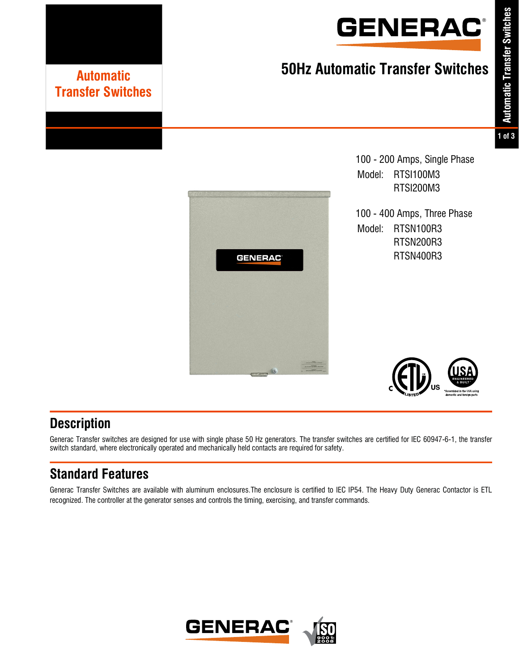

# **50Hz Automatic Transfer Switches Automatic**

### **1 of 3**



100 - 200 Amps, Single Phase Model: RTSI100M3 RTSI200M3

100 - 400 Amps, Three Phase Model: RTSN100R3 RTSN200R3 RTSN400R3



## **Description**

Generac Transfer switches are designed for use with single phase 50 Hz generators. The transfer switches are certified for IEC 60947-6-1, the transfer switch standard, where electronically operated and mechanically held contacts are required for safety.

## **Standard Features**

**Transfer Switches**

Generac Transfer Switches are available with aluminum enclosures.The enclosure is certified to IEC IP54. The Heavy Duty Generac Contactor is ETL recognized. The controller at the generator senses and controls the timing, exercising, and transfer commands.

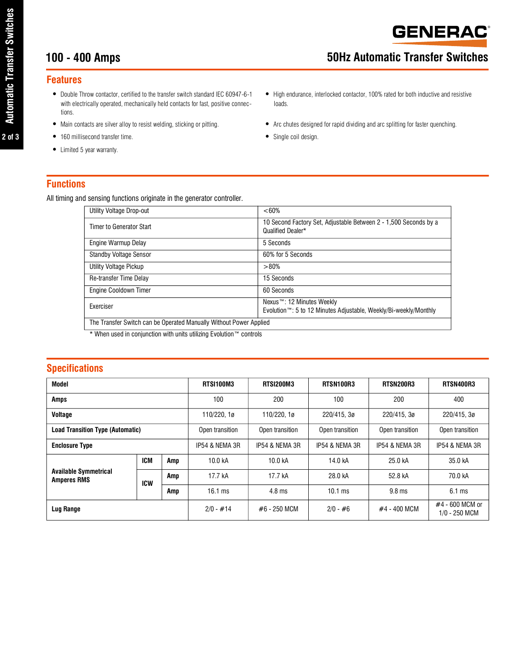## **100 - 400 Amps 50Hz Automatic Transfer Switches**

#### **Features**

- **•** Double Throw contactor, certified to the transfer switch standard IEC 60947-6-1 with electrically operated, mechanically held contacts for fast, positive connections.
- 
- **•** 160 millisecond transfer time. **•** Single coil design.
- **•** Limited 5 year warranty.
- 
- **•** High endurance, interlocked contactor, 100% rated for both inductive and resistive loads.
- Main contacts are silver alloy to resist welding, sticking or pitting. <br>• Arc chutes designed for rapid dividing and arc splitting for faster quenching.
	-

#### **Functions**

All timing and sensing functions originate in the generator controller.

| Utility Voltage Drop-out                                           | $<60\%$                                                                                                    |  |  |  |  |
|--------------------------------------------------------------------|------------------------------------------------------------------------------------------------------------|--|--|--|--|
| Timer to Generator Start                                           | 10 Second Factory Set, Adjustable Between 2 - 1,500 Seconds by a<br>Qualified Dealer*                      |  |  |  |  |
| Engine Warmup Delay                                                | 5 Seconds                                                                                                  |  |  |  |  |
| <b>Standby Voltage Sensor</b>                                      | 60% for 5 Seconds                                                                                          |  |  |  |  |
| Utility Voltage Pickup                                             | >80%                                                                                                       |  |  |  |  |
| Re-transfer Time Delay                                             | 15 Seconds                                                                                                 |  |  |  |  |
| Engine Cooldown Timer                                              | 60 Seconds                                                                                                 |  |  |  |  |
| <b>Fxerciser</b>                                                   | Nexus™: 12 Minutes Weekly<br>Evolution <sup>™</sup> : 5 to 12 Minutes Adjustable, Weekly/Bi-weekly/Monthly |  |  |  |  |
| The Transfer Switch can be Operated Manually Without Power Applied |                                                                                                            |  |  |  |  |

\* When used in conjunction with units utilizing Evolution™ controls

#### **Specifications**

| Model                                              |            | RTSI100M3       | RTSI200M3                  | RTSN100R3        | RTSN200R3       | RTSN400R3                        |                  |
|----------------------------------------------------|------------|-----------------|----------------------------|------------------|-----------------|----------------------------------|------------------|
| <b>Amps</b>                                        |            | 100             | 200                        | 100              | 200             | 400                              |                  |
| Voltage                                            |            | 110/220, 1ø     | 110/220, 1ø<br>220/415, 3ø |                  | 220/415.3ø      | 220/415, 3ø                      |                  |
| <b>Load Transition Type (Automatic)</b>            |            | Open transition | Open transition            | Open transition  | Open transition | Open transition                  |                  |
| <b>Enclosure Type</b>                              |            | IP54 & NEMA 3R  | IP54 & NEMA 3R             | IP54 & NEMA 3R   | IP54 & NEMA 3R  | IP54 & NEMA 3R                   |                  |
| <b>Available Symmetrical</b><br><b>Amperes RMS</b> | <b>ICM</b> | Amp             | 10.0 kA                    | 10.0 kA          | 14.0 kA         | 25.0 kA                          | 35.0 kA          |
|                                                    | <b>ICW</b> | Amp             | 17.7 kA                    | 17.7 kA          | 28.0 kA         | 52.8 kA                          | 70.0 kA          |
|                                                    |            | Amp             | $16.1 \text{ ms}$          | $4.8 \text{ ms}$ | $10.1$ ms       | 9.8 <sub>ms</sub>                | $6.1 \text{ ms}$ |
| Lug Range                                          |            | $2/0 - #14$     | #6 - 250 MCM               | $2/0 - #6$       | #4 - 400 MCM    | #4 - 600 MCM or<br>1/0 - 250 MCM |                  |

**2 of 3**